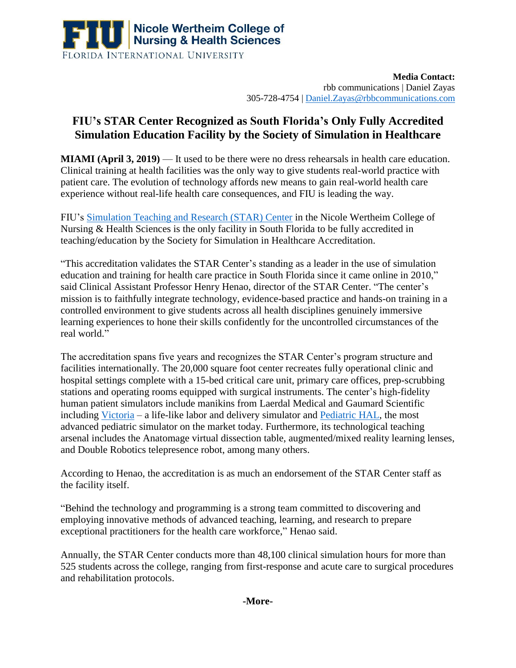

**Media Contact:**  rbb communications | Daniel Zayas 305-728-4754 [| Daniel.Zayas@rbbcommunications.com](mailto:Daniel.Zayas@rbbcommunications.com)

## **FIU's STAR Center Recognized as South Florida's Only Fully Accredited Simulation Education Facility by the Society of Simulation in Healthcare**

**MIAMI (April 3, 2019)** — It used to be there were no dress rehearsals in health care education. Clinical training at health facilities was the only way to give students real-world practice with patient care. The evolution of technology affords new means to gain real-world health care experience without real-life health care consequences, and FIU is leading the way.

FIU's [Simulation Teaching and Research \(STAR\) Center](https://cnhs.fiu.edu/facilities/star-center/index.html) in the Nicole Wertheim College of Nursing & Health Sciences is the only facility in South Florida to be fully accredited in teaching/education by the Society for Simulation in Healthcare Accreditation.

"This accreditation validates the STAR Center's standing as a leader in the use of simulation education and training for health care practice in South Florida since it came online in 2010," said Clinical Assistant Professor Henry Henao, director of the STAR Center. "The center's mission is to faithfully integrate technology, evidence-based practice and hands-on training in a controlled environment to give students across all health disciplines genuinely immersive learning experiences to hone their skills confidently for the uncontrolled circumstances of the real world."

The accreditation spans five years and recognizes the STAR Center's program structure and facilities internationally. The 20,000 square foot center recreates fully operational clinic and hospital settings complete with a 15-bed critical care unit, primary care offices, prep-scrubbing stations and operating rooms equipped with surgical instruments. The center's high-fidelity human patient simulators include manikins from Laerdal Medical and Gaumard Scientific including [Victoria](https://www.gaumard.com/s2200-victoria-childbirth-simulator) – a life-like labor and delivery simulator and [Pediatric HAL,](https://www.gaumard.com/s2225) the most advanced pediatric simulator on the market today. Furthermore, its technological teaching arsenal includes the Anatomage virtual dissection table, augmented/mixed reality learning lenses, and Double Robotics telepresence robot, among many others.

According to Henao, the accreditation is as much an endorsement of the STAR Center staff as the facility itself.

"Behind the technology and programming is a strong team committed to discovering and employing innovative methods of advanced teaching, learning, and research to prepare exceptional practitioners for the health care workforce," Henao said.

Annually, the STAR Center conducts more than 48,100 clinical simulation hours for more than 525 students across the college, ranging from first-response and acute care to surgical procedures and rehabilitation protocols.